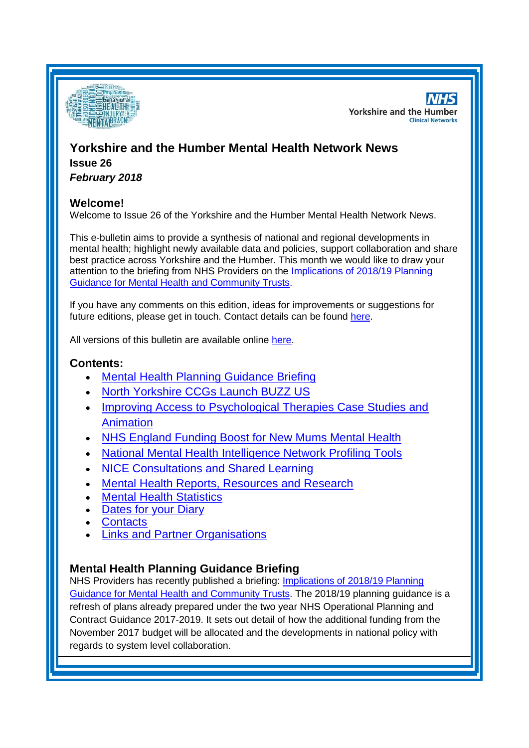

**NHS Yorkshire and the Humber Clinical Networks** 

# **Yorkshire and the Humber Mental Health Network News Issue 26**

*February 2018*

### **Welcome!**

Welcome to Issue 26 of the Yorkshire and the Humber Mental Health Network News.

This e-bulletin aims to provide a synthesis of national and regional developments in mental health; highlight newly available data and policies, support collaboration and share best practice across Yorkshire and the Humber. This month we would like to draw your attention to the briefing from NHS Providers on the [Implications of 2018/19 Planning](http://nhsproviders.org/resource-library/briefings/on-the-day-briefing-implications-of-201819-planning-guidance-for-mental-health-and-community-trusts)  [Guidance for Mental Health and Community Trusts.](http://nhsproviders.org/resource-library/briefings/on-the-day-briefing-implications-of-201819-planning-guidance-for-mental-health-and-community-trusts)

If you have any comments on this edition, ideas for improvements or suggestions for future editions, please get in touch. Contact details can be found [here.](#page-4-0)

All versions of this bulletin are available online [here.](http://www.yhscn.nhs.uk/mental-health-clinic/mental-health-network/MH-documents-and-links.php)

### **Contents:**

- [Mental Health Planning Guidance Briefing](#page-0-0)
- [North Yorkshire CCGs Launch BUZZ US](#page-1-0)
- Improving Access to Psychological Therapies Case Studies and [Animation](#page-1-1)
- [NHS England Funding Boost for New Mums Mental Health](#page-1-2)
- [National Mental Health Intelligence Network Profiling Tools](#page-0-0)
- [NICE Consultations and Shared Learning](#page-2-0)
- [Mental Health Reports, Resources and Research](#page-0-1)
- **[Mental Health Statistics](#page-3-0)**
- [Dates for your Diary](#page-3-1)
- **[Contacts](#page-4-0)**
- [Links and Partner Organisations](#page-4-1)

## <span id="page-0-1"></span><span id="page-0-0"></span>**Mental Health Planning Guidance Briefing**

NHS Providers has recently published a briefing: [Implications of 2018/19](http://nhsproviders.org/resource-library/briefings/on-the-day-briefing-implications-of-201819-planning-guidance-for-mental-health-and-community-trusts) Planning [Guidance for Mental Health and Community Trusts.](http://nhsproviders.org/resource-library/briefings/on-the-day-briefing-implications-of-201819-planning-guidance-for-mental-health-and-community-trusts) The 2018/19 planning guidance is a refresh of plans already prepared under the two year NHS Operational Planning and Contract Guidance 2017-2019. It sets out detail of how the additional funding from the November 2017 budget will be allocated and the developments in national policy with regards to system level collaboration.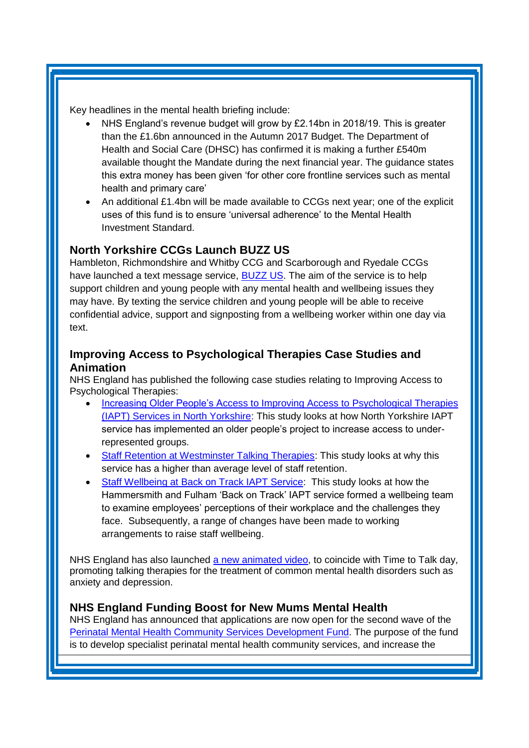Key headlines in the mental health briefing include:

- NHS England's revenue budget will grow by £2.14bn in 2018/19. This is greater than the £1.6bn announced in the Autumn 2017 Budget. The Department of Health and Social Care (DHSC) has confirmed it is making a further £540m available thought the Mandate during the next financial year. The guidance states this extra money has been given 'for other core frontline services such as mental health and primary care'
- An additional £1.4bn will be made available to CCGs next year; one of the explicit uses of this fund is to ensure 'universal adherence' to the Mental Health Investment Standard.

### <span id="page-1-0"></span>**North Yorkshire CCGs Launch BUZZ US**

Hambleton, Richmondshire and Whitby CCG and Scarborough and Ryedale CCGs have launched a text message service, **BUZZ US**. The aim of the service is to help support children and young people with any mental health and wellbeing issues they may have. By texting the service children and young people will be able to receive confidential advice, support and signposting from a wellbeing worker within one day via text

## <span id="page-1-1"></span>**Improving Access to Psychological Therapies Case Studies and Animation**

NHS England has published the following case studies relating to Improving Access to Psychological Therapies:

- [Increasing Older People's Access to Improving Access to Psychological Therapies](https://www.england.nhs.uk/publication/increasing-older-peoples-access-to-improving-access-to-psychological-therapies-iapt-services-in-north-yorkshire/)  [\(IAPT\) Services in North Yorkshire:](https://www.england.nhs.uk/publication/increasing-older-peoples-access-to-improving-access-to-psychological-therapies-iapt-services-in-north-yorkshire/) This study looks at how North Yorkshire IAPT service has implemented an older people's project to increase access to underrepresented groups.
- [Staff Retention at Westminster Talking Therapies:](https://www.england.nhs.uk/publication/staff-retention-at-westminster-talking-therapies-service/) This study looks at why this service has a higher than average level of staff retention.
- [Staff Wellbeing at Back on Track IAPT Service:](https://www.england.nhs.uk/publication/back-on-track-iapt-service-hammersmith-and-fulham-nhs/) This study looks at how the Hammersmith and Fulham 'Back on Track' IAPT service formed a wellbeing team to examine employees' perceptions of their workplace and the challenges they face. Subsequently, a range of changes have been made to working arrangements to raise staff wellbeing.

NHS England has also launched [a new animated video,](https://www.england.nhs.uk/mental-health/adults/iapt/older-people/) to coincide with Time to Talk day. promoting talking therapies for the treatment of common mental health disorders such as anxiety and depression.

### <span id="page-1-2"></span>**NHS England Funding Boost for New Mums Mental Health**

NHS England has announced that applications are now open for the second wave of the [Perinatal Mental Health Community Services Development Fund.](https://www.england.nhs.uk/mental-health/perinatal/community-services/fund-wave-2/) The purpose of the fund is to develop specialist perinatal mental health community services, and increase the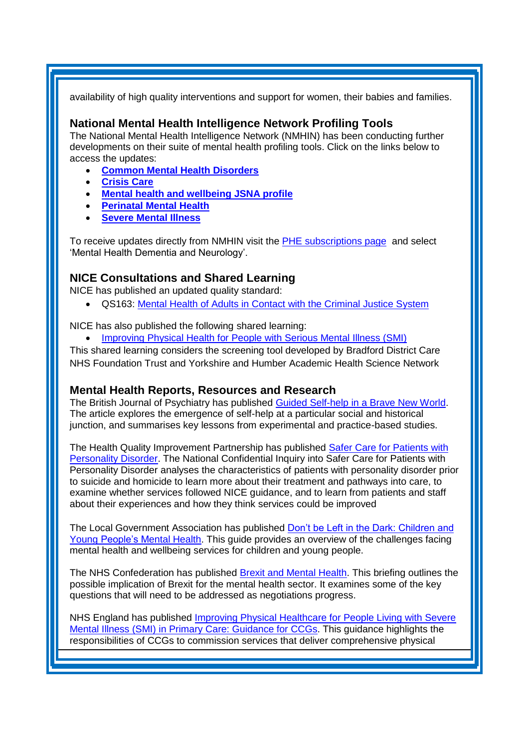availability of high quality interventions and support for women, their babies and families.

#### **National Mental Health Intelligence Network Profiling Tools**

The National Mental Health Intelligence Network (NMHIN) has been conducting further developments on their suite of mental health profiling tools. Click on the links below to access the updates:

- **[Common Mental Health Disorders](http://links.govdelivery.com/track?type=click&enid=ZWFzPTEmbXNpZD0mYXVpZD0mbWFpbGluZ2lkPTIwMTcxMjA1LjgxOTE2MDgxJm1lc3NhZ2VpZD1NREItUFJELUJVTC0yMDE3MTIwNS44MTkxNjA4MSZkYXRhYmFzZWlkPTEwMDEmc2VyaWFsPTE2OTcwMTE4JmVtYWlsaWQ9c2FyYWguYm91bEBuaHMubmV0JnVzZXJpZD1zYXJhaC5ib3VsQG5ocy5uZXQmdGFyZ2V0aWQ9JmZsPSZleHRyYT1NdWx0aXZhcmlhdGVJZD0mJiY=&&&104&&&https://fingertips.phe.org.uk/profile-group/mental-health/profile/common-mental-disorders)**
- **[Crisis Care](http://links.govdelivery.com/track?type=click&enid=ZWFzPTEmbXNpZD0mYXVpZD0mbWFpbGluZ2lkPTIwMTcxMjA1LjgxOTE2MDgxJm1lc3NhZ2VpZD1NREItUFJELUJVTC0yMDE3MTIwNS44MTkxNjA4MSZkYXRhYmFzZWlkPTEwMDEmc2VyaWFsPTE2OTcwMTE4JmVtYWlsaWQ9c2FyYWguYm91bEBuaHMubmV0JnVzZXJpZD1zYXJhaC5ib3VsQG5ocy5uZXQmdGFyZ2V0aWQ9JmZsPSZleHRyYT1NdWx0aXZhcmlhdGVJZD0mJiY=&&&105&&&https://fingertips.phe.org.uk/profile-group/mental-health/profile/crisis-care)**
- **[Mental health and wellbeing JSNA profile](http://links.govdelivery.com/track?type=click&enid=ZWFzPTEmbXNpZD0mYXVpZD0mbWFpbGluZ2lkPTIwMTcxMjA1LjgxOTE2MDgxJm1lc3NhZ2VpZD1NREItUFJELUJVTC0yMDE3MTIwNS44MTkxNjA4MSZkYXRhYmFzZWlkPTEwMDEmc2VyaWFsPTE2OTcwMTE4JmVtYWlsaWQ9c2FyYWguYm91bEBuaHMubmV0JnVzZXJpZD1zYXJhaC5ib3VsQG5ocy5uZXQmdGFyZ2V0aWQ9JmZsPSZleHRyYT1NdWx0aXZhcmlhdGVJZD0mJiY=&&&106&&&https://fingertips.phe.org.uk/profile-group/mental-health/profile/mh-jsna)**
- **[Perinatal Mental Health](http://links.govdelivery.com/track?type=click&enid=ZWFzPTEmbXNpZD0mYXVpZD0mbWFpbGluZ2lkPTIwMTcxMjA1LjgxOTE2MDgxJm1lc3NhZ2VpZD1NREItUFJELUJVTC0yMDE3MTIwNS44MTkxNjA4MSZkYXRhYmFzZWlkPTEwMDEmc2VyaWFsPTE2OTcwMTE4JmVtYWlsaWQ9c2FyYWguYm91bEBuaHMubmV0JnVzZXJpZD1zYXJhaC5ib3VsQG5ocy5uZXQmdGFyZ2V0aWQ9JmZsPSZleHRyYT1NdWx0aXZhcmlhdGVJZD0mJiY=&&&107&&&https://fingertips.phe.org.uk/profile-group/mental-health/profile/perinatal-mental-health)**
- **[Severe Mental Illness](http://links.govdelivery.com/track?type=click&enid=ZWFzPTEmbXNpZD0mYXVpZD0mbWFpbGluZ2lkPTIwMTcxMjA1LjgxOTE2MDgxJm1lc3NhZ2VpZD1NREItUFJELUJVTC0yMDE3MTIwNS44MTkxNjA4MSZkYXRhYmFzZWlkPTEwMDEmc2VyaWFsPTE2OTcwMTE4JmVtYWlsaWQ9c2FyYWguYm91bEBuaHMubmV0JnVzZXJpZD1zYXJhaC5ib3VsQG5ocy5uZXQmdGFyZ2V0aWQ9JmZsPSZleHRyYT1NdWx0aXZhcmlhdGVJZD0mJiY=&&&108&&&https://fingertips.phe.org.uk/profile-group/mental-health/profile/severe-mental-illness)**

To receive updates directly from NMHIN visit the [PHE subscriptions page](http://links.govdelivery.com/track?type=click&enid=ZWFzPTEmbXNpZD0mYXVpZD0mbWFpbGluZ2lkPTIwMTgwMjA3Ljg0OTY1MzgxJm1lc3NhZ2VpZD1NREItUFJELUJVTC0yMDE4MDIwNy44NDk2NTM4MSZkYXRhYmFzZWlkPTEwMDEmc2VyaWFsPTE2OTgzNDk5JmVtYWlsaWQ9c2FyYWguYm91bEBuaHMubmV0JnVzZXJpZD1zYXJhaC5ib3VsQG5ocy5uZXQmdGFyZ2V0aWQ9JmZsPSZleHRyYT1NdWx0aXZhcmlhdGVJZD0mJiY=&&&107&&&https://public.govdelivery.com/accounts/UKHPA/subscribers/new?preferences=true) and select 'Mental Health Dementia and Neurology'.

### <span id="page-2-0"></span>**NICE Consultations and Shared Learning**

NICE has published an updated quality standard:

QS163: [Mental Health of Adults in Contact with the Criminal Justice System](https://www.nice.org.uk/guidance/qs163)

NICE has also published the following shared learning:

[Improving Physical Health for People with Serious Mental Illness \(SMI\)](https://www.nice.org.uk/sharedlearning/improving-physical-health-for-people-with-serious-mental-illness-smi)

This shared learning considers the screening tool developed by Bradford District Care NHS Foundation Trust and Yorkshire and Humber Academic Health Science Network

#### **Mental Health Reports, Resources and Research**

The British Journal of Psychiatry has published [Guided Self-help in a Brave New World.](https://www.cambridge.org/core/journals/the-british-journal-of-psychiatry/article/guided-selfhelp-in-a-brave-new-world/610EABCD6B6502DD53EEBB0D3195B5C0/core-reader) The article explores the emergence of self-help at a particular social and historical junction, and summarises key lessons from experimental and practice-based studies.

The Health Quality Improvement Partnership has published [Safer Care for Patients with](https://www.hqip.org.uk/resources/national-confidential-inquiry-into-suicide-and-homicide-report-2018/)  [Personality Disorder.](https://www.hqip.org.uk/resources/national-confidential-inquiry-into-suicide-and-homicide-report-2018/) The National Confidential Inquiry into Safer Care for Patients with Personality Disorder analyses the characteristics of patients with personality disorder prior to suicide and homicide to learn more about their treatment and pathways into care, to examine whether services followed NICE guidance, and to learn from patients and staff about their experiences and how they think services could be improved

The Local Government Association has published [Don't be Left in the Dark: Children and](https://www.local.gov.uk/dont-be-left-dark-children-and-young-peoples-mental-health)  [Young People's Mental Health.](https://www.local.gov.uk/dont-be-left-dark-children-and-young-peoples-mental-health) This guide provides an overview of the challenges facing mental health and wellbeing services for children and young people.

The NHS Confederation has published [Brexit and Mental Health.](http://www.nhsconfed.org/resources/2018/01/brexit-and-mental-health) This briefing outlines the possible implication of Brexit for the mental health sector. It examines some of the key questions that will need to be addressed as negotiations progress.

NHS England has published [Improving Physical Healthcare for People Living with Severe](https://www.england.nhs.uk/publication/improving-physical-healthcare-for-people-living-with-severe-mental-illness-smi-in-primary-care-guidance-for-ccgs/)  [Mental Illness \(SMI\) in Primary Care: Guidance for CCGs.](https://www.england.nhs.uk/publication/improving-physical-healthcare-for-people-living-with-severe-mental-illness-smi-in-primary-care-guidance-for-ccgs/) This guidance highlights the responsibilities of CCGs to commission services that deliver comprehensive physical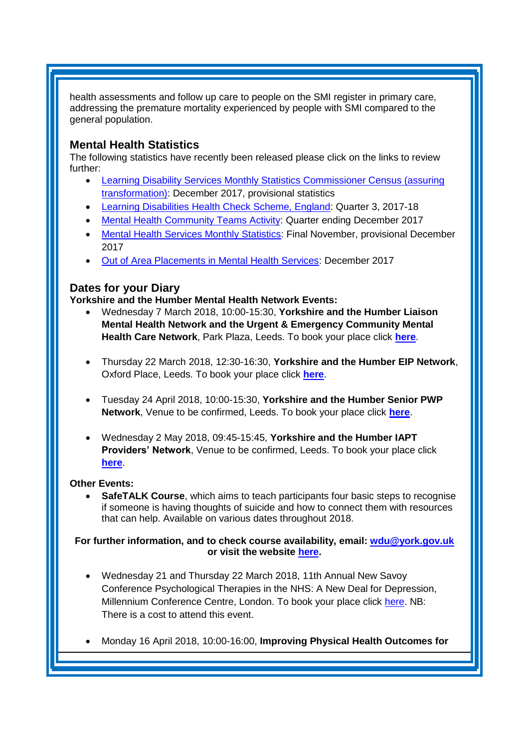health assessments and follow up care to people on the SMI register in primary care, addressing the premature mortality experienced by people with SMI compared to the general population.

### <span id="page-3-0"></span>**Mental Health Statistics**

The following statistics have recently been released please click on the links to review further:

- <span id="page-3-1"></span> [Learning Disability Services Monthly Statistics Commissioner Census \(assuring](https://www.gov.uk/government/statistics/learning-disability-services-monthly-statistics-commissioner-census-assuring-transformation-december-2017-provisional-statistics)  [transformation\):](https://www.gov.uk/government/statistics/learning-disability-services-monthly-statistics-commissioner-census-assuring-transformation-december-2017-provisional-statistics) December 2017, provisional statistics
- [Learning Disabilities Health Check Scheme, England:](https://digital.nhs.uk/catalogue/PUB30223) Quarter 3, 2017-18
- [Mental Health Community Teams Activity:](https://www.gov.uk/government/statistics/mental-health-community-teams-activity-for-quarter-ending-december-2017) Quarter ending December 2017
- [Mental Health Services Monthly Statistics:](https://www.gov.uk/government/statistics/mental-health-services-monthly-statistics-final-november-provisional-december-2017) Final November, provisional December 2017
- [Out of Area Placements in Mental Health Services:](https://www.gov.uk/government/statistics/out-of-area-placements-in-mental-health-services-december-2017) December 2017

### **Dates for your Diary**

**Yorkshire and the Humber Mental Health Network Events:**

- Wednesday 7 March 2018, 10:00-15:30, **Yorkshire and the Humber Liaison Mental Health Network and the Urgent & Emergency Community Mental Health Care Network**, Park Plaza, Leeds. To book your place click **[here](https://www.eventbrite.co.uk/e/yorkshire-and-the-humber-lmh-and-uecmhc-network-tickets-42315872915)**.
- Thursday 22 March 2018, 12:30-16:30, **Yorkshire and the Humber EIP Network**, Oxford Place, Leeds. To book your place click **[here](https://www.eventbrite.co.uk/e/yorkshire-and-the-humber-eip-network-tickets-39657862735)**.
- Tuesday 24 April 2018, 10:00-15:30, **Yorkshire and the Humber Senior PWP Network**, Venue to be confirmed, Leeds. To book your place click **[here](https://www.eventbrite.co.uk/e/yorkshire-and-the-humber-senior-pwp-network-tickets-43306551060)**.
- Wednesday 2 May 2018, 09:45-15:45, **Yorkshire and the Humber IAPT Providers' Network**, Venue to be confirmed, Leeds. To book your place click **[here](https://www.eventbrite.co.uk/e/yorkshire-and-the-humber-iapt-providers-network-tickets-43306423679)**.

#### **Other Events:**

 **SafeTALK Course**, which aims to teach participants four basic steps to recognise if someone is having thoughts of suicide and how to connect them with resources that can help. Available on various dates throughout 2018.

#### **For further information, and to check course availability, email: [wdu@york.gov.uk](mailto:wdu@york.gov.uk) or visit the website [here.](http://www.yorkworkforcedevelopment.org.uk/)**

- Wednesday 21 and Thursday 22 March 2018, 11th Annual New Savoy Conference Psychological Therapies in the NHS: A New Deal for Depression, Millennium Conference Centre, London. To book your place click [here.](https://www.healthcareconferencesuk.co.uk/event/1210) NB: There is a cost to attend this event.
- Monday 16 April 2018, 10:00-16:00, **Improving Physical Health Outcomes for**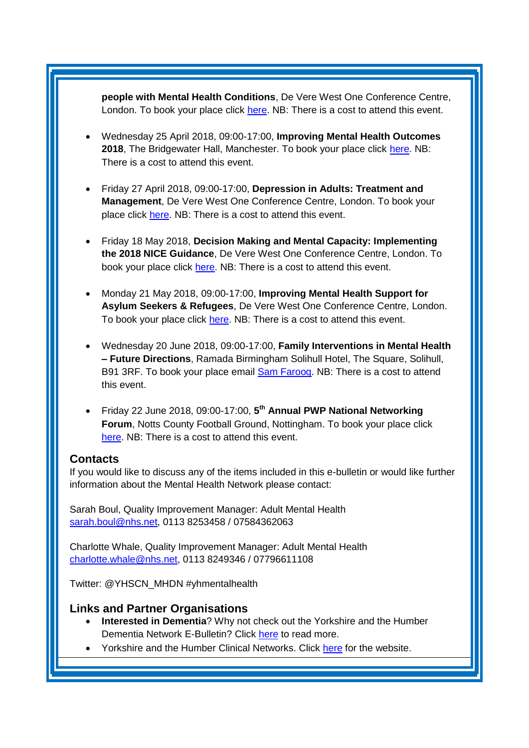**people with Mental Health Conditions**, De Vere West One Conference Centre, London. To book your place click [here.](https://www.healthcareconferencesuk.co.uk/event/1353/book) NB: There is a cost to attend this event.

- Wednesday 25 April 2018, 09:00-17:00, **Improving Mental Health Outcomes 2018**, The Bridgewater Hall, Manchester. To book your place click [here.](https://openforumevents.co.uk/events/2018/improving-mental-health-outcomes-integrating-coordinating-and-transforming-services/?utm_source=OFE+S3.1+MH18+WC+27.11.17+&utm_medium=email&utm_campaign=OFE+S3.1+MH18+WC+27.11.17) NB: There is a cost to attend this event.
- Friday 27 April 2018, 09:00-17:00, **Depression in Adults: Treatment and Management**, De Vere West One Conference Centre, London. To book your place click [here.](https://www.healthcareconferencesuk.co.uk/event/1347/book) NB: There is a cost to attend this event.
- Friday 18 May 2018, **Decision Making and Mental Capacity: Implementing the 2018 NICE Guidance**, De Vere West One Conference Centre, London. To book your place click [here.](https://www.healthcareconferencesuk.co.uk/event/1360/book) NB: There is a cost to attend this event.
- Monday 21 May 2018, 09:00-17:00, **Improving Mental Health Support for Asylum Seekers & Refugees**, De Vere West One Conference Centre, London. To book your place click [here.](https://www.healthcareconferencesuk.co.uk/event/1209/book) NB: There is a cost to attend this event.
- Wednesday 20 June 2018, 09:00-17:00, **Family Interventions in Mental Health – Future Directions**, Ramada Birmingham Solihull Hotel, The Square, Solihull, B91 3RF. To book your place email [Sam Farooq.](mailto:samfarooq@nhs.net) NB: There is a cost to attend this event.
- Friday 22 June 2018, 09:00-17:00, **5 th Annual PWP National Networking Forum, Notts County Football Ground, Nottingham. To book your place click** [here.](http://www.iapt-nnf.co.uk/Home/ViewEvent/87?utm_source=SBK%20Healthcare&utm_medium=email&utm_campaign=8995560_1856PT%201st%20email&dm_i=1SB0,5CT0O,MCTTTA,KP5GK,1) NB: There is a cost to attend this event.

#### <span id="page-4-0"></span>**Contacts**

If you would like to discuss any of the items included in this e-bulletin or would like further information about the Mental Health Network please contact:

Sarah Boul, Quality Improvement Manager: Adult Mental Health [sarah.boul@nhs.net,](mailto:sarah.boul@nhs.net) 0113 8253458 / 07584362063

Charlotte Whale, Quality Improvement Manager: Adult Mental Health [charlotte.whale@nhs.net,](mailto:charlotte.whale@nhs.net) 0113 8249346 / 07796611108

Twitter: @YHSCN\_MHDN #yhmentalhealth

#### <span id="page-4-1"></span>**Links and Partner Organisations**

- **Interested in Dementia**? Why not check out the Yorkshire and the Humber Dementia Network E-Bulletin? Click [here](http://www.yhscn.nhs.uk/mental-health-clinic/Dementia/YHSCNDementiaBulletin.php) to read more.
- Yorkshire and the Humber Clinical Networks. Click [here](http://www.yhscn.nhs.uk/index.php) for the website.